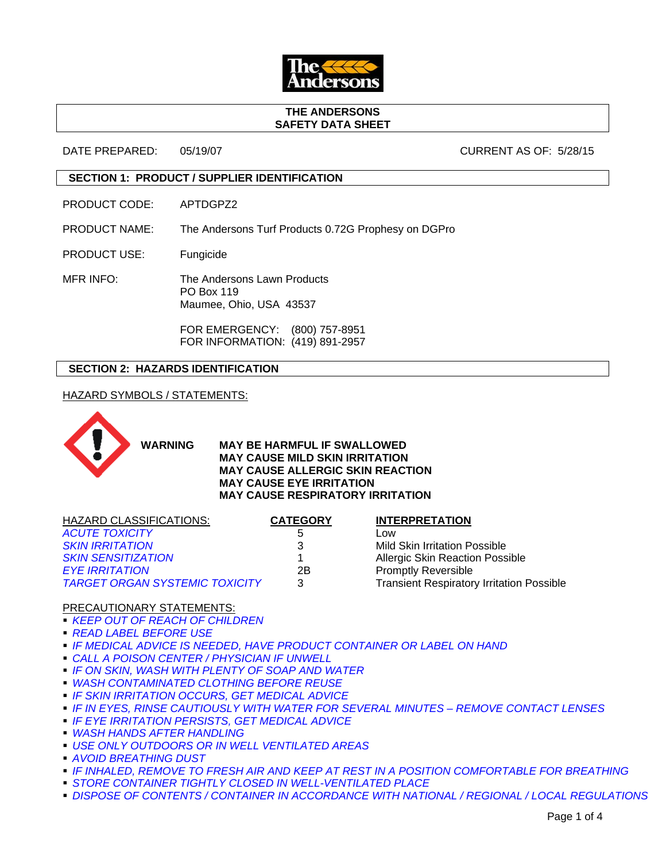

#### **THE ANDERSONS SAFETY DATA SHEET**

DATE PREPARED: 05/19/07 CURRENT AS OF: 5/28/15

# **SECTION 1: PRODUCT / SUPPLIER IDENTIFICATION**

PRODUCT CODE: APTDGPZ2

PRODUCT NAME: The Andersons Turf Products 0.72G Prophesy on DGPro

PRODUCT USE: Fungicide

MFR INFO: The Andersons Lawn Products PO Box 119 Maumee, Ohio, USA 43537

> FOR EMERGENCY: (800) 757-8951 FOR INFORMATION: (419) 891-2957

# **SECTION 2: HAZARDS IDENTIFICATION**

HAZARD SYMBOLS / STATEMENTS:



**WARNING MAY BE HARMFUL IF SWALLOWED MAY CAUSE MILD SKIN IRRITATION MAY CAUSE ALLERGIC SKIN REACTION MAY CAUSE EYE IRRITATION MAY CAUSE RESPIRATORY IRRITATION**

| <b>HAZARD CLASSIFICATIONS:</b>        | <b>CATEGORY</b> | <b>INTERPRETATION</b>                            |
|---------------------------------------|-----------------|--------------------------------------------------|
| <b>ACUTE TOXICITY</b>                 | 5               | LOW                                              |
| <b>SKIN IRRITATION</b>                |                 | <b>Mild Skin Irritation Possible</b>             |
| <b>SKIN SENSITIZATION</b>             |                 | <b>Allergic Skin Reaction Possible</b>           |
| <b>EYE IRRITATION</b>                 | 2Β              | <b>Promptly Reversible</b>                       |
| <b>TARGET ORGAN SYSTEMIC TOXICITY</b> | 3               | <b>Transient Respiratory Irritation Possible</b> |

## PRECAUTIONARY STATEMENTS:

*KEEP OUT OF REACH OF CHILDREN*

- *READ LABEL BEFORE USE*
- *IF MEDICAL ADVICE IS NEEDED, HAVE PRODUCT CONTAINER OR LABEL ON HAND*
- *CALL A POISON CENTER / PHYSICIAN IF UNWELL*
- *IF ON SKIN, WASH WITH PLENTY OF SOAP AND WATER*
- *WASH CONTAMINATED CLOTHING BEFORE REUSE*
- *IF SKIN IRRITATION OCCURS, GET MEDICAL ADVICE*
- *IF IN EYES, RINSE CAUTIOUSLY WITH WATER FOR SEVERAL MINUTES REMOVE CONTACT LENSES*
- *IF EYE IRRITATION PERSISTS, GET MEDICAL ADVICE*
- *WASH HANDS AFTER HANDLING*
- *USE ONLY OUTDOORS OR IN WELL VENTILATED AREAS*
- *AVOID BREATHING DUST*
- *IF INHALED, REMOVE TO FRESH AIR AND KEEP AT REST IN A POSITION COMFORTABLE FOR BREATHING*
- **STORE CONTAINER TIGHTLY CLOSED IN WELL-VENTILATED PLACE**
- **DISPOSE OF CONTENTS / CONTAINER IN ACCORDANCE WITH NATIONAL / REGIONAL / LOCAL REGULATIONS**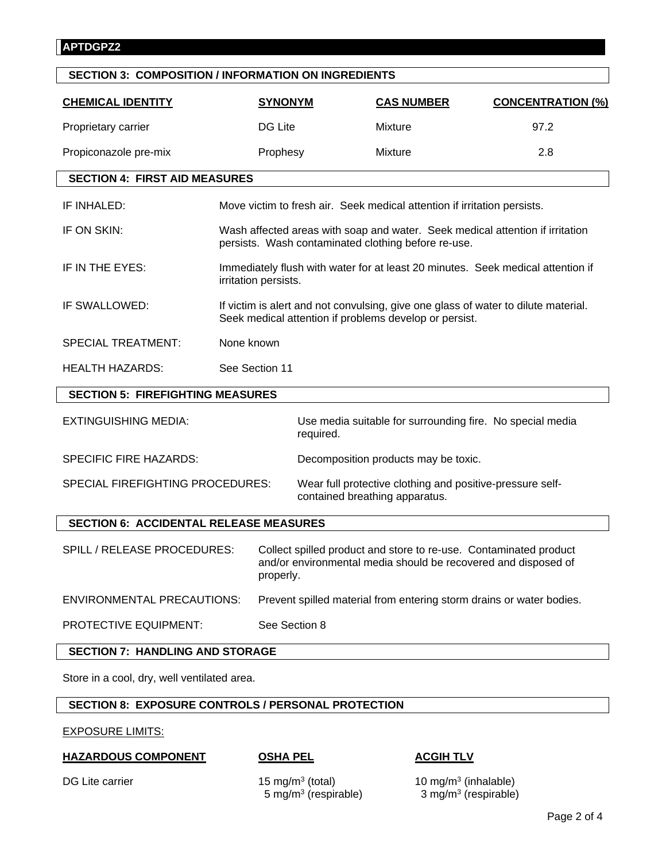| <b>SECTION 3: COMPOSITION / INFORMATION ON INGREDIENTS</b> |                                                                                                                                              |                |                                                                                                                                     |                                      |                                                                      |  |  |
|------------------------------------------------------------|----------------------------------------------------------------------------------------------------------------------------------------------|----------------|-------------------------------------------------------------------------------------------------------------------------------------|--------------------------------------|----------------------------------------------------------------------|--|--|
| <b>CHEMICAL IDENTITY</b>                                   |                                                                                                                                              | <b>SYNONYM</b> |                                                                                                                                     | <b>CAS NUMBER</b>                    | <b>CONCENTRATION (%)</b>                                             |  |  |
| Proprietary carrier                                        |                                                                                                                                              | DG Lite        |                                                                                                                                     | <b>Mixture</b>                       | 97.2                                                                 |  |  |
| Propiconazole pre-mix                                      |                                                                                                                                              | Prophesy       |                                                                                                                                     | <b>Mixture</b>                       | 2.8                                                                  |  |  |
| <b>SECTION 4: FIRST AID MEASURES</b>                       |                                                                                                                                              |                |                                                                                                                                     |                                      |                                                                      |  |  |
| IF INHALED:                                                | Move victim to fresh air. Seek medical attention if irritation persists.                                                                     |                |                                                                                                                                     |                                      |                                                                      |  |  |
| IF ON SKIN:                                                | Wash affected areas with soap and water. Seek medical attention if irritation<br>persists. Wash contaminated clothing before re-use.         |                |                                                                                                                                     |                                      |                                                                      |  |  |
| IF IN THE EYES:                                            | Immediately flush with water for at least 20 minutes. Seek medical attention if<br>irritation persists.                                      |                |                                                                                                                                     |                                      |                                                                      |  |  |
| IF SWALLOWED:                                              | If victim is alert and not convulsing, give one glass of water to dilute material.<br>Seek medical attention if problems develop or persist. |                |                                                                                                                                     |                                      |                                                                      |  |  |
| <b>SPECIAL TREATMENT:</b>                                  | None known                                                                                                                                   |                |                                                                                                                                     |                                      |                                                                      |  |  |
| <b>HEALTH HAZARDS:</b>                                     |                                                                                                                                              | See Section 11 |                                                                                                                                     |                                      |                                                                      |  |  |
| <b>SECTION 5: FIREFIGHTING MEASURES</b>                    |                                                                                                                                              |                |                                                                                                                                     |                                      |                                                                      |  |  |
| <b>EXTINGUISHING MEDIA:</b>                                |                                                                                                                                              |                | required.                                                                                                                           |                                      | Use media suitable for surrounding fire. No special media            |  |  |
| <b>SPECIFIC FIRE HAZARDS:</b>                              |                                                                                                                                              |                |                                                                                                                                     | Decomposition products may be toxic. |                                                                      |  |  |
| SPECIAL FIREFIGHTING PROCEDURES:                           |                                                                                                                                              |                | Wear full protective clothing and positive-pressure self-<br>contained breathing apparatus.                                         |                                      |                                                                      |  |  |
| <b>SECTION 6: ACCIDENTAL RELEASE MEASURES</b>              |                                                                                                                                              |                |                                                                                                                                     |                                      |                                                                      |  |  |
| SPILL / RELEASE PROCEDURES:                                | properly.                                                                                                                                    |                | Collect spilled product and store to re-use. Contaminated product<br>and/or environmental media should be recovered and disposed of |                                      |                                                                      |  |  |
| <b>ENVIRONMENTAL PRECAUTIONS:</b>                          |                                                                                                                                              |                |                                                                                                                                     |                                      | Prevent spilled material from entering storm drains or water bodies. |  |  |

PROTECTIVE EQUIPMENT: See Section 8

# **SECTION 7: HANDLING AND STORAGE**

Store in a cool, dry, well ventilated area.

# **SECTION 8: EXPOSURE CONTROLS / PERSONAL PROTECTION**

EXPOSURE LIMITS:

# **HAZARDOUS COMPONENT OSHA PEL ACGIH TLV**

DG Lite carrier 15 mg/m<sup>3</sup> (total) 10 mg/m<sup>3</sup> (inhalable) 5 mg/m3 (respirable) 3 mg/m3 (respirable)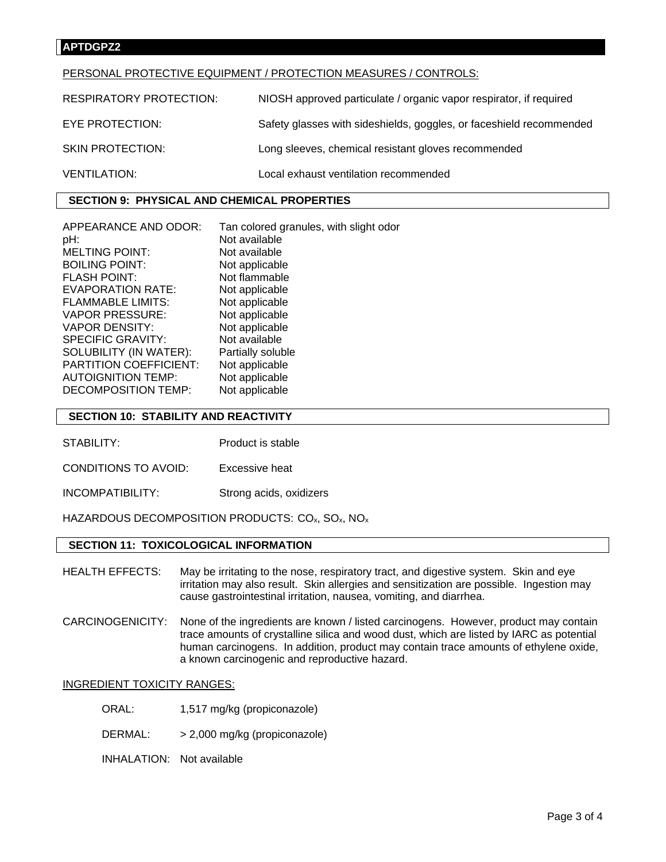## **APTDGPZ2**

#### PERSONAL PROTECTIVE EQUIPMENT / PROTECTION MEASURES / CONTROLS:

| <b>RESPIRATORY PROTECTION:</b> | NIOSH approved particulate / organic vapor respirator, if required  |
|--------------------------------|---------------------------------------------------------------------|
| EYE PROTECTION:                | Safety glasses with sideshields, goggles, or faceshield recommended |
| <b>SKIN PROTECTION:</b>        | Long sleeves, chemical resistant gloves recommended                 |
| <b>VENTILATION:</b>            | Local exhaust ventilation recommended                               |

# **SECTION 9: PHYSICAL AND CHEMICAL PROPERTIES**

| APPEARANCE AND ODOR:          | Tan colored granules, with slight odor |
|-------------------------------|----------------------------------------|
| pH:                           | Not available                          |
| <b>MELTING POINT:</b>         | Not available                          |
| <b>BOILING POINT:</b>         | Not applicable                         |
| <b>FLASH POINT:</b>           | Not flammable                          |
| EVAPORATION RATE:             | Not applicable                         |
| <b>FLAMMABLE LIMITS:</b>      | Not applicable                         |
| <b>VAPOR PRESSURE:</b>        | Not applicable                         |
| <b>VAPOR DENSITY:</b>         | Not applicable                         |
| SPECIFIC GRAVITY:             | Not available                          |
| SOLUBILITY (IN WATER):        | Partially soluble                      |
| <b>PARTITION COEFFICIENT:</b> | Not applicable                         |
| <b>AUTOIGNITION TEMP:</b>     | Not applicable                         |
| DECOMPOSITION TEMP:           | Not applicable                         |

## **SECTION 10: STABILITY AND REACTIVITY**

- STABILITY: Product is stable
- CONDITIONS TO AVOID: Excessive heat
- INCOMPATIBILITY: Strong acids, oxidizers

HAZARDOUS DECOMPOSITION PRODUCTS: CO<sub>x</sub>, SO<sub>x</sub>, NO<sub>x</sub>

### **SECTION 11: TOXICOLOGICAL INFORMATION**

- HEALTH EFFECTS: May be irritating to the nose, respiratory tract, and digestive system. Skin and eye irritation may also result. Skin allergies and sensitization are possible. Ingestion may cause gastrointestinal irritation, nausea, vomiting, and diarrhea.
- CARCINOGENICITY: None of the ingredients are known / listed carcinogens. However, product may contain trace amounts of crystalline silica and wood dust, which are listed by IARC as potential human carcinogens. In addition, product may contain trace amounts of ethylene oxide, a known carcinogenic and reproductive hazard.

#### INGREDIENT TOXICITY RANGES:

- ORAL: 1,517 mg/kg (propiconazole)
- DERMAL: > 2,000 mg/kg (propiconazole)
- INHALATION: Not available